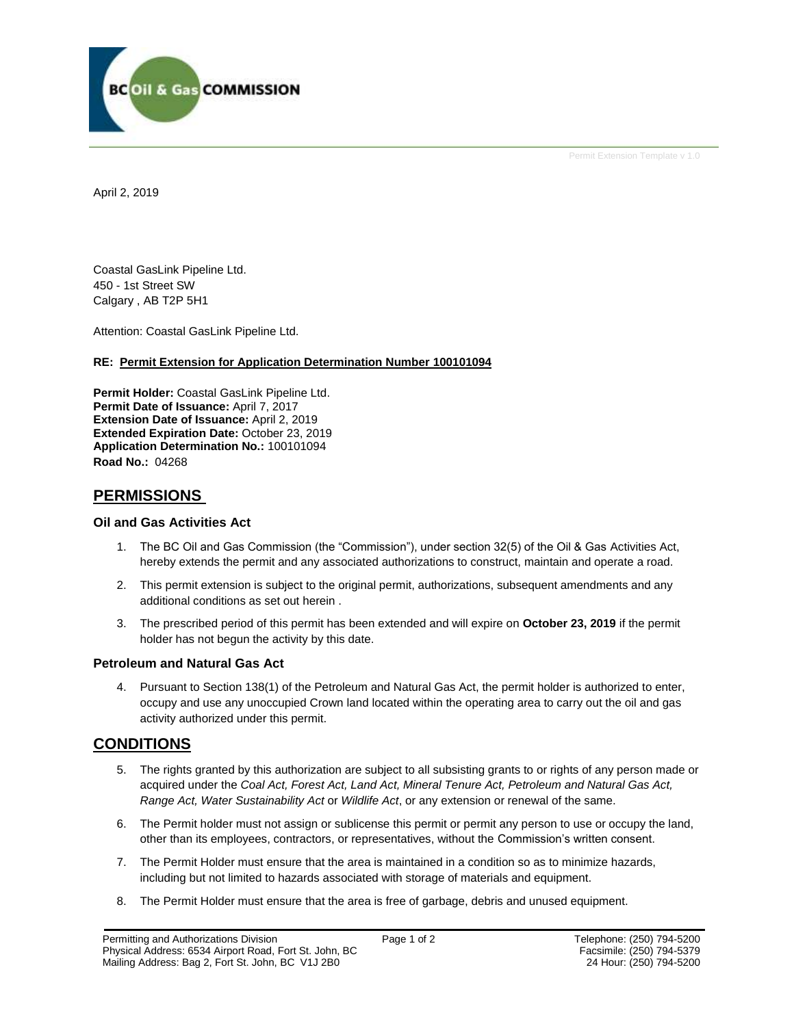

Permit Extension Template v 1.0

April 2, 2019

Coastal GasLink Pipeline Ltd. 450 - 1st Street SW Calgary , AB T2P 5H1

Attention: Coastal GasLink Pipeline Ltd.

### **RE: Permit Extension for Application Determination Number 100101094**

**Permit Holder:** Coastal GasLink Pipeline Ltd. **Permit Date of Issuance:** April 7, 2017 **Extension Date of Issuance:** April 2, 2019 **Extended Expiration Date:** October 23, 2019 **Application Determination No.:** 100101094 **Road No.:** 04268

### **PERMISSIONS**

### **Oil and Gas Activities Act**

- 1. The BC Oil and Gas Commission (the "Commission"), under section 32(5) of the Oil & Gas Activities Act, hereby extends the permit and any associated authorizations to construct, maintain and operate a road.
- 2. This permit extension is subject to the original permit, authorizations, subsequent amendments and any additional conditions as set out herein .
- 3. The prescribed period of this permit has been extended and will expire on **October 23, 2019** if the permit holder has not begun the activity by this date.

### **Petroleum and Natural Gas Act**

4. Pursuant to Section 138(1) of the Petroleum and Natural Gas Act, the permit holder is authorized to enter, occupy and use any unoccupied Crown land located within the operating area to carry out the oil and gas activity authorized under this permit.

### **CONDITIONS**

- 5. The rights granted by this authorization are subject to all subsisting grants to or rights of any person made or acquired under the *Coal Act, Forest Act, Land Act, Mineral Tenure Act, Petroleum and Natural Gas Act, Range Act, Water Sustainability Act* or *Wildlife Act*, or any extension or renewal of the same.
- 6. The Permit holder must not assign or sublicense this permit or permit any person to use or occupy the land, other than its employees, contractors, or representatives, without the Commission's written consent.
- 7. The Permit Holder must ensure that the area is maintained in a condition so as to minimize hazards, including but not limited to hazards associated with storage of materials and equipment.
- 8. The Permit Holder must ensure that the area is free of garbage, debris and unused equipment.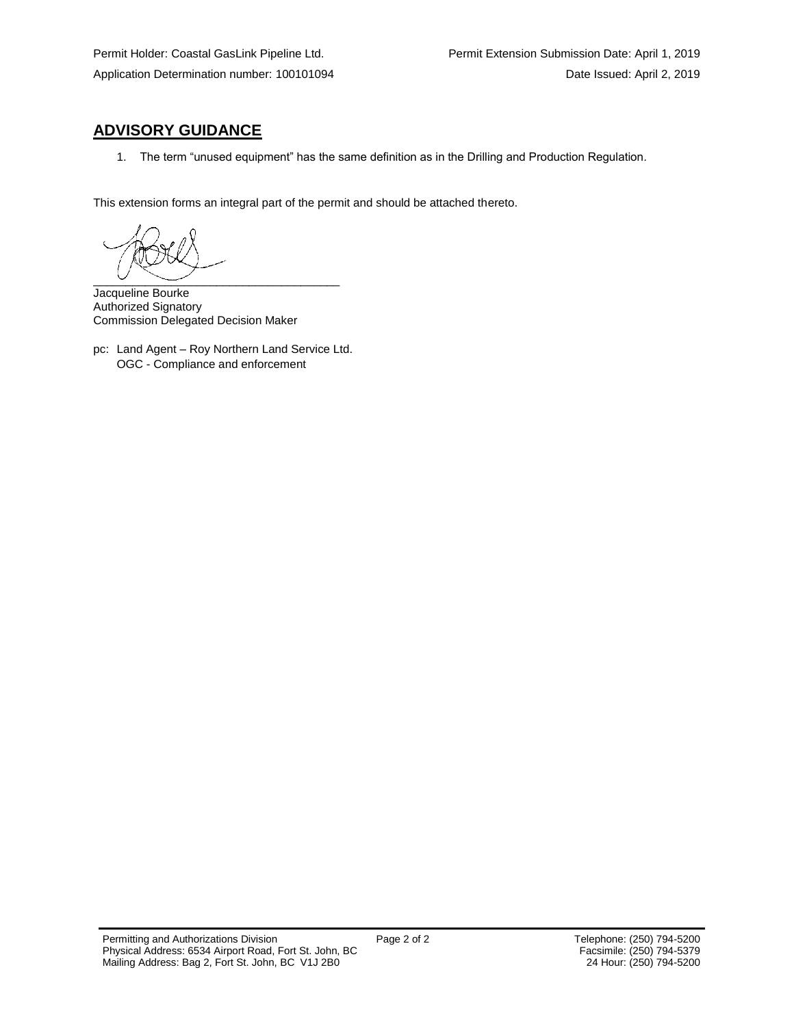# **ADVISORY GUIDANCE**

1. The term "unused equipment" has the same definition as in the Drilling and Production Regulation.

This extension forms an integral part of the permit and should be attached thereto.

 $\overline{\phantom{a}}$   $\overline{\phantom{a}}$   $\overline{\phantom{a}}$   $\overline{\phantom{a}}$   $\overline{\phantom{a}}$   $\overline{\phantom{a}}$   $\overline{\phantom{a}}$   $\overline{\phantom{a}}$   $\overline{\phantom{a}}$   $\overline{\phantom{a}}$   $\overline{\phantom{a}}$   $\overline{\phantom{a}}$   $\overline{\phantom{a}}$   $\overline{\phantom{a}}$   $\overline{\phantom{a}}$   $\overline{\phantom{a}}$   $\overline{\phantom{a}}$   $\overline{\phantom{a}}$   $\overline{\$ 

Jacqueline Bourke Authorized Signatory Commission Delegated Decision Maker

pc: Land Agent – Roy Northern Land Service Ltd. OGC - Compliance and enforcement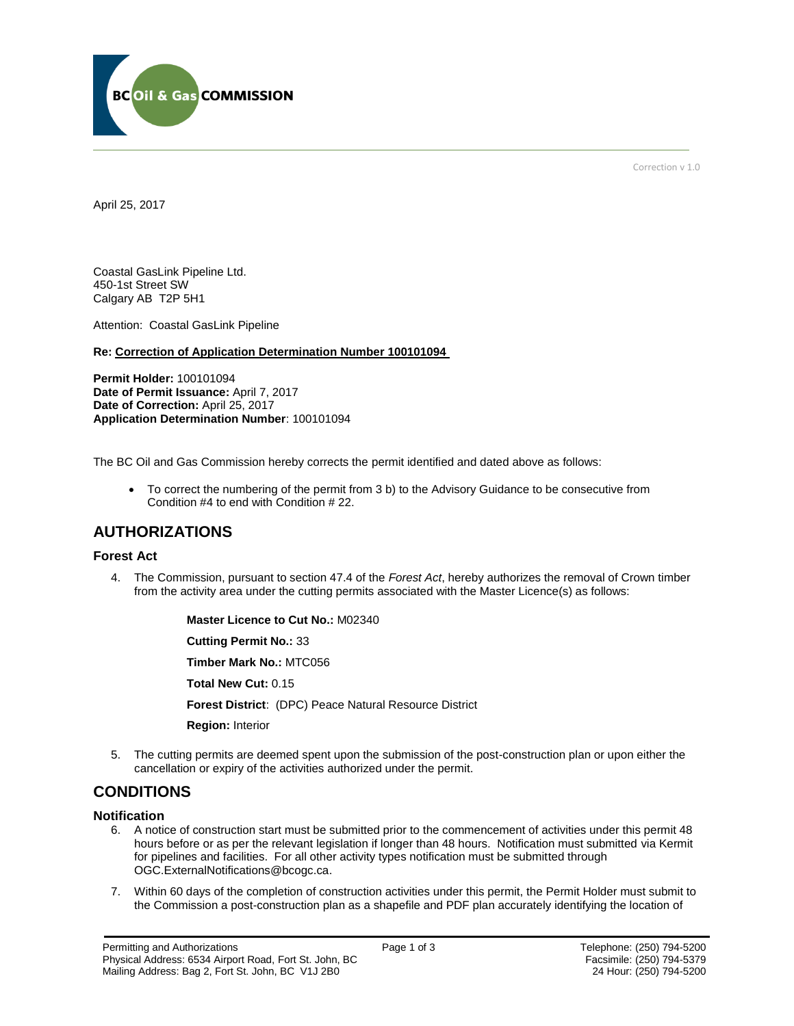

Correction v 1.0

April 25, 2017

Coastal GasLink Pipeline Ltd. 450-1st Street SW Calgary AB T2P 5H1

Attention: Coastal GasLink Pipeline

**Re: Correction of Application Determination Number 100101094**

**Permit Holder:** 100101094 **Date of Permit Issuance:** April 7, 2017 Date of Correction: April 25, 2017 **Application Determination Number**: 100101094

The BC Oil and Gas Commission hereby corrects the permit identified and dated above as follows:

 To correct the numbering of the permit from 3 b) to the Advisory Guidance to be consecutive from Condition #4 to end with Condition # 22.

## **AUTHORIZATIONS**

### **Forest Act**

4. The Commission, pursuant to section 47.4 of the *Forest Act*, hereby authorizes the removal of Crown timber from the activity area under the cutting permits associated with the Master Licence(s) as follows:

> **Master Licence to Cut No.:** M02340 **Cutting Permit No.:** 33 **Timber Mark No.:** MTC056 **Total New Cut:** 0.15

**[Forest District](https://ams-crd.bcogc.ca/crd/)**: (DPC) Peace Natural Resource District

**Region:** Interior

5. The cutting permits are deemed spent upon the submission of the post-construction plan or upon either the cancellation or expiry of the activities authorized under the permit.

### **CONDITIONS**

#### **Notification**

- 6. A notice of construction start must be submitted prior to the commencement of activities under this permit 48 hours before or as per the relevant legislation if longer than 48 hours. Notification must submitted via Kermit for pipelines and facilities. For all other activity types notification must be submitted through [OGC.ExternalNotifications@bcogc.ca.](mailto:OGC.ExternalNotifications@bcogc.ca)
- 7. Within 60 days of the completion of construction activities under this permit, the Permit Holder must submit to the Commission a post-construction plan as a shapefile and PDF plan accurately identifying the location of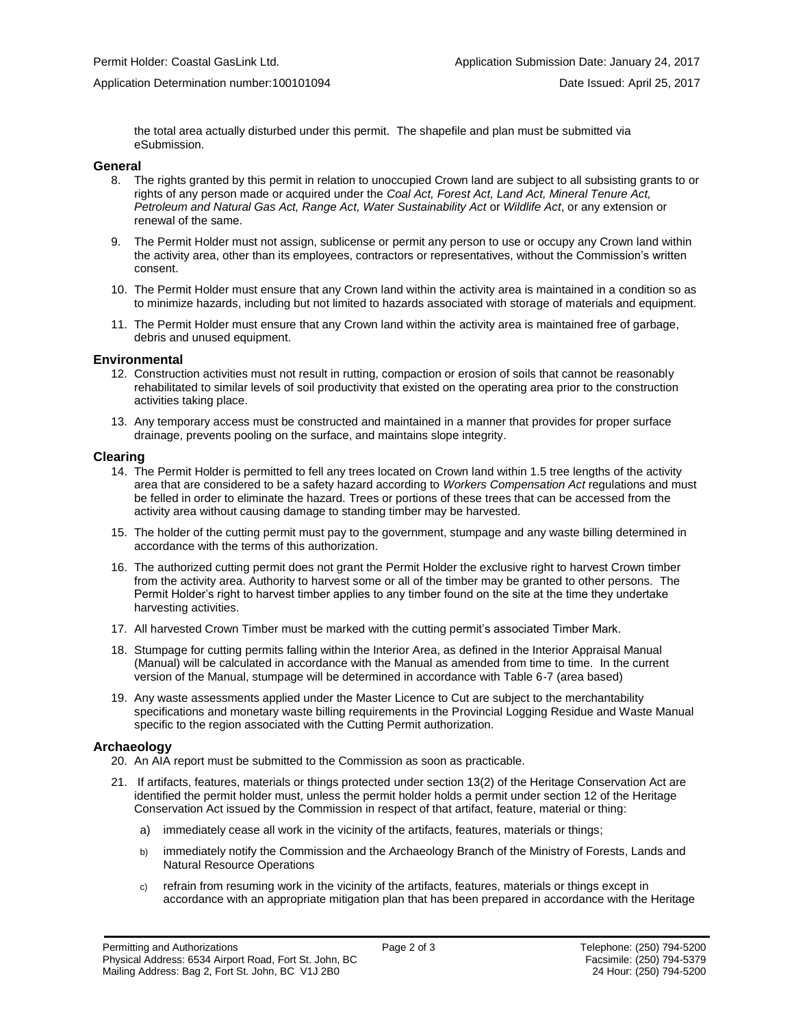the total area actually disturbed under this permit. The shapefile and plan must be submitted via eSubmission.

#### **General**

- 8. The rights granted by this permit in relation to unoccupied Crown land are subject to all subsisting grants to or rights of any person made or acquired under the *Coal Act, Forest Act, Land Act, Mineral Tenure Act, Petroleum and Natural Gas Act, Range Act, Water Sustainability Act* or *Wildlife Act*, or any extension or renewal of the same.
- 9. The Permit Holder must not assign, sublicense or permit any person to use or occupy any Crown land within the activity area, other than its employees, contractors or representatives, without the Commission's written consent.
- 10. The Permit Holder must ensure that any Crown land within the activity area is maintained in a condition so as to minimize hazards, including but not limited to hazards associated with storage of materials and equipment.
- 11. The Permit Holder must ensure that any Crown land within the activity area is maintained free of garbage, debris and unused equipment.

#### **Environmental**

- 12. Construction activities must not result in rutting, compaction or erosion of soils that cannot be reasonably rehabilitated to similar levels of soil productivity that existed on the operating area prior to the construction activities taking place.
- 13. Any temporary access must be constructed and maintained in a manner that provides for proper surface drainage, prevents pooling on the surface, and maintains slope integrity.

#### **Clearing**

- 14. The Permit Holder is permitted to fell any trees located on Crown land within 1.5 tree lengths of the activity area that are considered to be a safety hazard according to *Workers Compensation Act* regulations and must be felled in order to eliminate the hazard. Trees or portions of these trees that can be accessed from the activity area without causing damage to standing timber may be harvested.
- 15. The holder of the cutting permit must pay to the government, stumpage and any waste billing determined in accordance with the terms of this authorization.
- 16. The authorized cutting permit does not grant the Permit Holder the exclusive right to harvest Crown timber from the activity area. Authority to harvest some or all of the timber may be granted to other persons. The Permit Holder's right to harvest timber applies to any timber found on the site at the time they undertake harvesting activities.
- 17. All harvested Crown Timber must be marked with the cutting permit's associated Timber Mark.
- 18. Stumpage for cutting permits falling within the Interior Area, as defined in the Interior Appraisal Manual (Manual) will be calculated in accordance with the Manual as amended from time to time. In the current version of the Manual, stumpage will be determined in accordance with Table 6-7 (area based)
- 19. Any waste assessments applied under the Master Licence to Cut are subject to the merchantability specifications and monetary waste billing requirements in the Provincial Logging Residue and Waste Manual specific to the region associated with the Cutting Permit authorization.

### **Archaeology**

- 20. An AIA report must be submitted to the Commission as soon as practicable.
- 21. If artifacts, features, materials or things protected under section 13(2) of the Heritage Conservation Act are identified the permit holder must, unless the permit holder holds a permit under section 12 of the Heritage Conservation Act issued by the Commission in respect of that artifact, feature, material or thing:
	- a) immediately cease all work in the vicinity of the artifacts, features, materials or things;
	- b) immediately notify the Commission and the Archaeology Branch of the Ministry of Forests, Lands and Natural Resource Operations
	- c) refrain from resuming work in the vicinity of the artifacts, features, materials or things except in accordance with an appropriate mitigation plan that has been prepared in accordance with the Heritage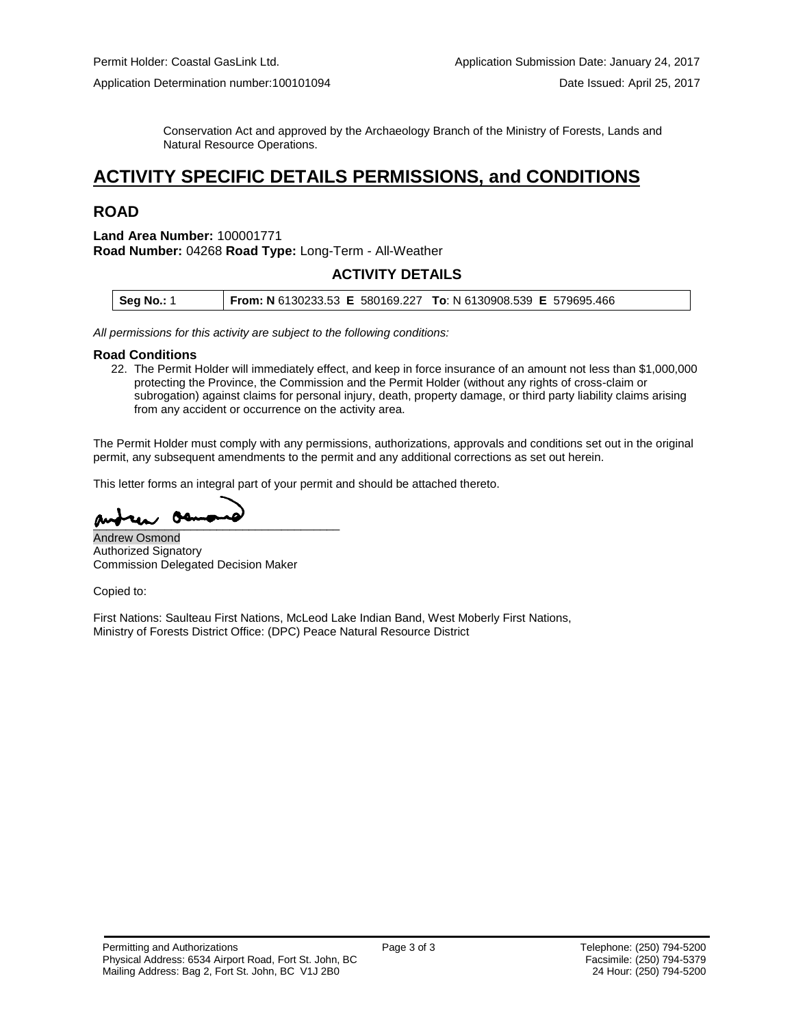Conservation Act and approved by the Archaeology Branch of the Ministry of Forests, Lands and Natural Resource Operations.

# **ACTIVITY SPECIFIC DETAILS PERMISSIONS, and CONDITIONS**

## **ROAD**

#### **Land Area Number:** 100001771 **Road Number:** 04268 **Road Type:** Long-Term - All-Weather

### **ACTIVITY DETAILS**

| <b>Seg No.: 1</b> | From: N 6130233.53 E 580169.227 To: N 6130908.539 E 579695.466 |  |
|-------------------|----------------------------------------------------------------|--|
|                   |                                                                |  |

*All permissions for this activity are subject to the following conditions:*

#### **Road Conditions**

22. The Permit Holder will immediately effect, and keep in force insurance of an amount not less than \$1,000,000 protecting the Province, the Commission and the Permit Holder (without any rights of cross-claim or subrogation) against claims for personal injury, death, property damage, or third party liability claims arising from any accident or occurrence on the activity area.

The Permit Holder must comply with any permissions, authorizations, approvals and conditions set out in the original permit, any subsequent amendments to the permit and any additional corrections as set out herein.

This letter forms an integral part of your permit and should be attached thereto.

\_\_\_\_\_\_\_\_\_\_\_\_\_\_\_\_\_\_\_\_\_\_\_\_\_\_\_\_\_\_\_\_\_\_\_\_\_\_

Andrew Osmond Authorized Signatory Commission Delegated Decision Maker

Copied to:

First Nations: Saulteau First Nations, McLeod Lake Indian Band, West Moberly First Nations, Ministry of Forests District Office: (DPC) Peace Natural Resource District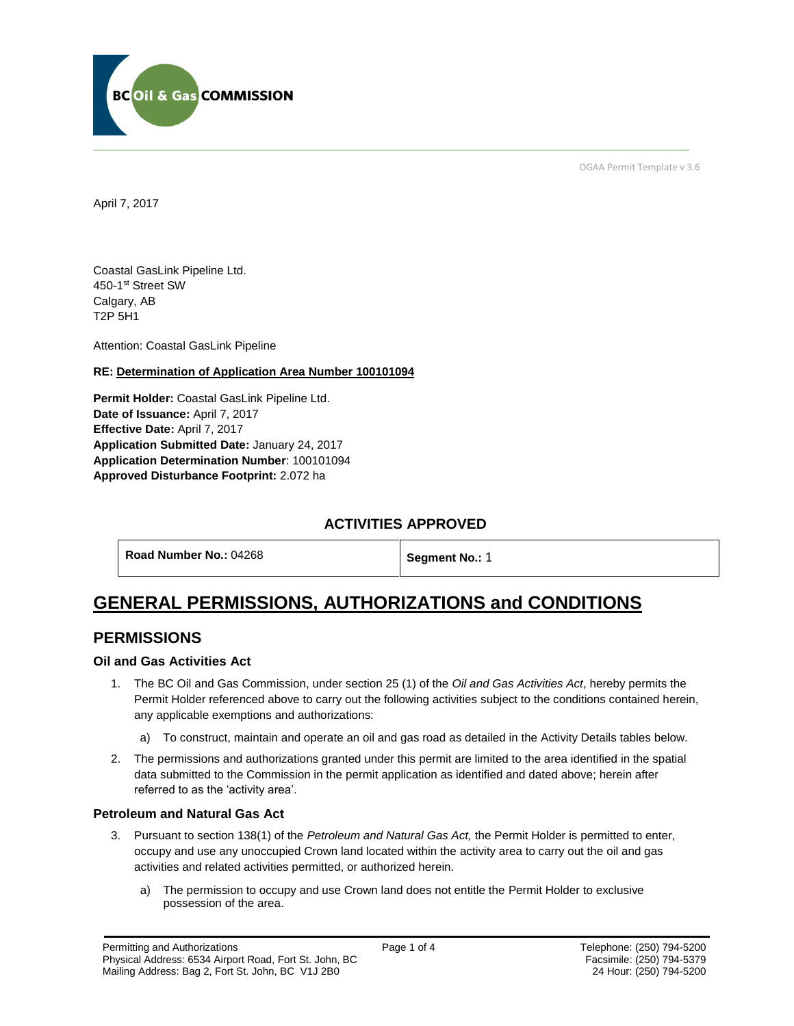

OGAA Permit Template v 3.6

April 7, 2017

Coastal GasLink Pipeline Ltd. 450-1st Street SW Calgary, AB T2P 5H1

[Attention:](#page-5-0) Coastal GasLink Pipeline

### **RE: Determination of Application Area Number 100101094**

**[Permit Holder:](#page-5-0)** Coastal GasLink Pipeline Ltd. **[Date of Issuance:](#page-5-0)** April 7, 2017 **Effective Date:** April 7, 2017 **[Application Submitted Date:](#page-5-0)** January 24, 2017 **[Application Determination Number](#page-5-0)**: 100101094 **Approved Disturbance Footprint:** 2.072 ha

## **ACTIVITIES APPROVED**

| Road Number No.: 04268 | Segment No.: 1 |
|------------------------|----------------|
|------------------------|----------------|

# **GENERAL PERMISSIONS, AUTHORIZATIONS and CONDITIONS**

### **PERMISSIONS**

### **Oil and Gas Activities Act**

- <span id="page-5-0"></span>1. The BC Oil and Gas Commission, under section 25 (1) of the *Oil and Gas Activities Act*, hereby permits the Permit Holder referenced above to carry out the following activities subject to the conditions contained herein, any applicable exemptions and authorizations:
	- a) To construct, maintain and operate an oil and gas road as detailed in the Activity Details tables below.
- 2. The permissions and authorizations granted under this permit are limited to the area identified in the spatial data submitted to the Commission in the permit application as identified and dated above; herein after referred to as the 'activity area'.

### **Petroleum and Natural Gas Act**

- 3. Pursuant to section 138(1) of the *Petroleum and Natural Gas Act,* the Permit Holder is permitted to enter, occupy and use any unoccupied Crown land located within the activity area to carry out the oil and gas activities and related activities permitted, or authorized herein.
	- a) The permission to occupy and use Crown land does not entitle the Permit Holder to exclusive possession of the area.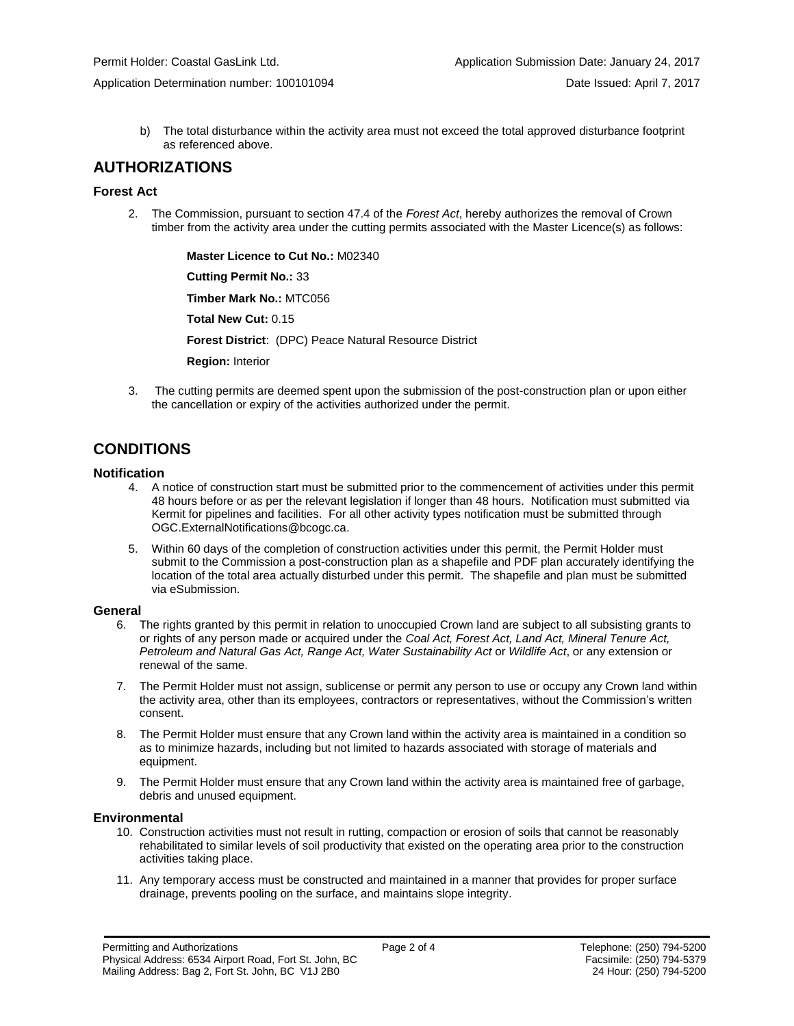b) The total disturbance within the activity area must not exceed the total approved disturbance footprint as referenced above.

### **AUTHORIZATIONS**

### **Forest Act**

2. The Commission, pursuant to section 47.4 of the *Forest Act*, hereby authorizes the removal of Crown timber from the activity area under the cutting permits associated with the Master Licence(s) as follows:

> **[Master Licence to Cut No.:](#page-5-0)** M02340 **[Cutting Permit No.:](#page-5-0)** 33

**[Timber Mark No.:](#page-5-0)** MTC056

**[Total New Cut:](#page-5-0)** 0.15

**[Forest District](https://ams-crd.bcogc.ca/crd/)**: (DPC) Peace Natural Resource District

**Region:** Interior

3. The cutting permits are deemed spent upon the submission of the post-construction plan or upon either the cancellation or expiry of the activities authorized under the permit.

# **CONDITIONS**

### **Notification**

- 4. A notice of construction start must be submitted prior to the commencement of activities under this permit 48 hours before or as per the relevant legislation if longer than 48 hours. Notification must submitted via Kermit for pipelines and facilities. For all other activity types notification must be submitted through [OGC.ExternalNotifications@bcogc.ca.](mailto:OGC.ExternalNotifications@bcogc.ca)
- 5. Within 60 days of the completion of construction activities under this permit, the Permit Holder must submit to the Commission a post-construction plan as a shapefile and PDF plan accurately identifying the location of the total area actually disturbed under this permit. The shapefile and plan must be submitted via eSubmission.

### **General**

- 6. The rights granted by this permit in relation to unoccupied Crown land are subject to all subsisting grants to or rights of any person made or acquired under the *Coal Act, Forest Act, Land Act, Mineral Tenure Act, Petroleum and Natural Gas Act, Range Act, Water Sustainability Act* or *Wildlife Act*, or any extension or renewal of the same.
- 7. The Permit Holder must not assign, sublicense or permit any person to use or occupy any Crown land within the activity area, other than its employees, contractors or representatives, without the Commission's written consent.
- 8. The Permit Holder must ensure that any Crown land within the activity area is maintained in a condition so as to minimize hazards, including but not limited to hazards associated with storage of materials and equipment.
- 9. The Permit Holder must ensure that any Crown land within the activity area is maintained free of garbage, debris and unused equipment.

### **Environmental**

- 10. Construction activities must not result in rutting, compaction or erosion of soils that cannot be reasonably rehabilitated to similar levels of soil productivity that existed on the operating area prior to the construction activities taking place.
- 11. Any temporary access must be constructed and maintained in a manner that provides for proper surface drainage, prevents pooling on the surface, and maintains slope integrity.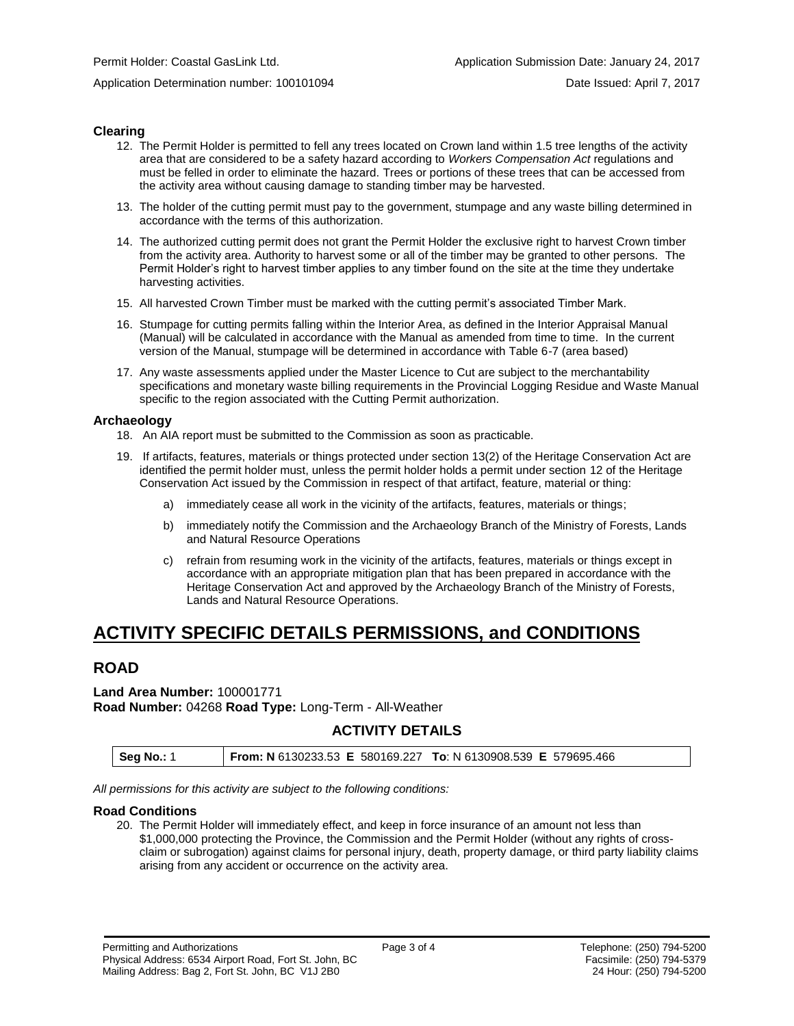### **Clearing**

- 12. The Permit Holder is permitted to fell any trees located on Crown land within 1.5 tree lengths of the activity area that are considered to be a safety hazard according to *Workers Compensation Act* regulations and must be felled in order to eliminate the hazard. Trees or portions of these trees that can be accessed from the activity area without causing damage to standing timber may be harvested.
- 13. The holder of the cutting permit must pay to the government, stumpage and any waste billing determined in accordance with the terms of this authorization.
- 14. The authorized cutting permit does not grant the Permit Holder the exclusive right to harvest Crown timber from the activity area. Authority to harvest some or all of the timber may be granted to other persons. The Permit Holder's right to harvest timber applies to any timber found on the site at the time they undertake harvesting activities.
- 15. All harvested Crown Timber must be marked with the cutting permit's associated Timber Mark.
- 16. Stumpage for cutting permits falling within the Interior Area, as defined in the Interior Appraisal Manual (Manual) will be calculated in accordance with the Manual as amended from time to time. In the current version of the Manual, stumpage will be determined in accordance with Table 6-7 (area based)
- 17. Any waste assessments applied under the Master Licence to Cut are subject to the merchantability specifications and monetary waste billing requirements in the Provincial Logging Residue and Waste Manual specific to the region associated with the Cutting Permit authorization.

### **Archaeology**

- 18. An AIA report must be submitted to the Commission as soon as practicable.
- 19. If artifacts, features, materials or things protected under section 13(2) of the Heritage Conservation Act are identified the permit holder must, unless the permit holder holds a permit under section 12 of the Heritage Conservation Act issued by the Commission in respect of that artifact, feature, material or thing:
	- a) immediately cease all work in the vicinity of the artifacts, features, materials or things;
	- b) immediately notify the Commission and the Archaeology Branch of the Ministry of Forests, Lands and Natural Resource Operations
	- c) refrain from resuming work in the vicinity of the artifacts, features, materials or things except in accordance with an appropriate mitigation plan that has been prepared in accordance with the Heritage Conservation Act and approved by the Archaeology Branch of the Ministry of Forests, Lands and Natural Resource Operations.

# **ACTIVITY SPECIFIC DETAILS PERMISSIONS, and CONDITIONS**

## **ROAD**

**Land Area Number:** 100001771 **Road Number:** 04268 **Road Type:** Long-Term - All-Weather

## **ACTIVITY DETAILS**

| <b>Seg No.: 1</b> | <b>From: N</b> 6130233.53 <b>E</b> 580169.227 <b>To:</b> N 6130908.539 <b>E</b> 579695.466 |  |  |  |
|-------------------|--------------------------------------------------------------------------------------------|--|--|--|
|-------------------|--------------------------------------------------------------------------------------------|--|--|--|

*All permissions for this activity are subject to the following conditions:*

### **Road Conditions**

20. The Permit Holder will immediately effect, and keep in force insurance of an amount not less than \$1,000,000 protecting the Province, the Commission and the Permit Holder (without any rights of crossclaim or subrogation) against claims for personal injury, death, property damage, or third party liability claims arising from any accident or occurrence on the activity area.